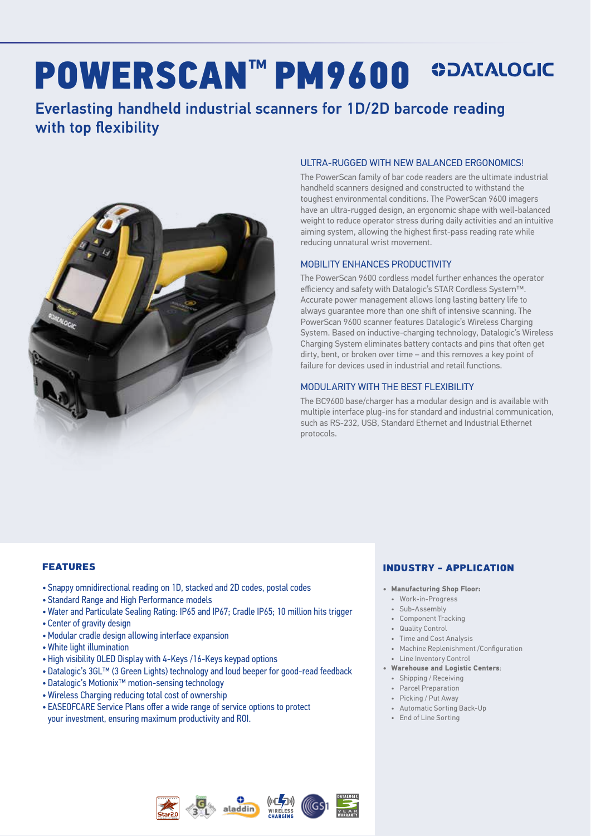# POWERSCAN**™** PM9600

### Everlasting handheld industrial scanners for 1D/2D barcode reading with top flexibility



#### ULTRA-RUGGED WITH NEW BALANCED ERGONOMICS!

The PowerScan family of bar code readers are the ultimate industrial handheld scanners designed and constructed to withstand the toughest environmental conditions. The PowerScan 9600 imagers have an ultra-rugged design, an ergonomic shape with well-balanced weight to reduce operator stress during daily activities and an intuitive aiming system, allowing the highest first-pass reading rate while reducing unnatural wrist movement.

#### MOBILITY ENHANCES PRODUCTIVITY

The PowerScan 9600 cordless model further enhances the operator efficiency and safety with Datalogic's STAR Cordless System™. Accurate power management allows long lasting battery life to always guarantee more than one shift of intensive scanning. The PowerScan 9600 scanner features Datalogic's Wireless Charging System. Based on inductive-charging technology, Datalogic's Wireless Charging System eliminates battery contacts and pins that often get dirty, bent, or broken over time – and this removes a key point of failure for devices used in industrial and retail functions.

#### MODULARITY WITH THE BEST FLEXIBILITY

The BC9600 base/charger has a modular design and is available with multiple interface plug-ins for standard and industrial communication, such as RS-232, USB, Standard Ethernet and Industrial Ethernet protocols.

#### FEATURES

- Snappy omnidirectional reading on 1D, stacked and 2D codes, postal codes
- Standard Range and High Performance models
- Water and Particulate Sealing Rating: IP65 and IP67; Cradle IP65; 10 million hits trigger
- Center of gravity design
- •Modular cradle design allowing interface expansion
- White light illumination
- High visibility OLED Display with 4-Keys /16-Keys keypad options
- Datalogic's 3GL™ (3 Green Lights) technology and loud beeper for good-read feedback
- Datalogic's Motionix™ motion-sensing technology
- Wireless Charging reducing total cost of ownership
- EASEOFCARE Service Plans offer a wide range of service options to protect your investment, ensuring maximum productivity and ROI.

#### INDUSTRY - APPLICATION

- **• Manufacturing Shop Floor:**
	- Work-in-Progress
	- Sub-Assembly
	- Component Tracking
	- Quality Control
	- Time and Cost Analysis
	- Machine Replenishment /Configuration
- Line Inventory Control **• Warehouse and Logistic Centers**:
	- Shipping / Receiving
	- Parcel Preparation
	- Picking / Put Away
	- Automatic Sorting Back-Up
	- End of Line Sorting